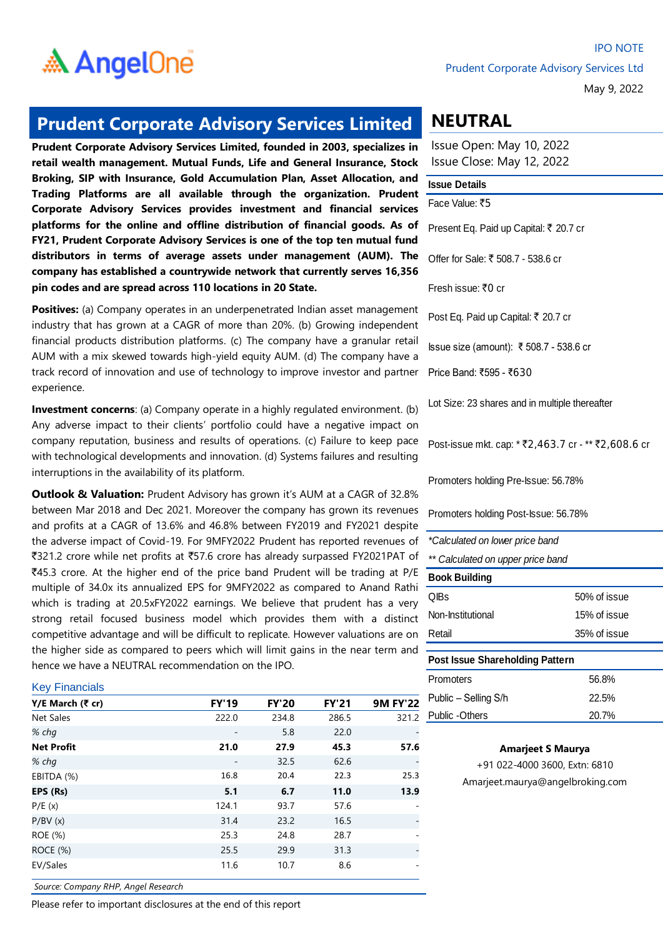

May 9, 2022

### **Prudent Corporate Advisory Services Limited**

**Prudent Corporate Advisory Services Limited, founded in 2003, specializes in retail wealth management. Mutual Funds, Life and General Insurance, Stock Broking, SIP with Insurance, Gold Accumulation Plan, Asset Allocation, and Trading Platforms are all available through the organization. Prudent Corporate Advisory Services provides investment and financial services platforms for the online and offline distribution of financial goods. As of FY21, Prudent Corporate Advisory Services is one of the top ten mutual fund distributors in terms of average assets under management (AUM). The company has established a countrywide network that currently serves 16,356 pin codes and are spread across 110 locations in 20 State.** 

**Positives:** (a) Company operates in an underpenetrated Indian asset management industry that has grown at a CAGR of more than 20%. (b) Growing independent financial products distribution platforms. (c) The company have a granular retail AUM with a mix skewed towards high-yield equity AUM. (d) The company have a track record of innovation and use of technology to improve investor and partner experience.

**Investment concerns**: (a) Company operate in a highly regulated environment. (b) Any adverse impact to their clients' portfolio could have a negative impact on company reputation, business and results of operations. (c) Failure to keep pace with technological developments and innovation. (d) Systems failures and resulting interruptions in the availability of its platform.

**Outlook & Valuation:** Prudent Advisory has grown it's AUM at a CAGR of 32.8% between Mar 2018 and Dec 2021. Moreover the company has grown its revenues and profits at a CAGR of 13.6% and 46.8% between FY2019 and FY2021 despite the adverse impact of Covid-19. For 9MFY2022 Prudent has reported revenues of `321.2 crore while net profits at `57.6 crore has already surpassed FY2021PAT of `45.3 crore. At the higher end of the price band Prudent will be trading at P/E multiple of 34.0x its annualized EPS for 9MFY2022 as compared to Anand Rathi which is trading at 20.5xFY2022 earnings. We believe that prudent has a very strong retail focused business model which provides them with a distinct competitive advantage and will be difficult to replicate. However valuations are on the higher side as compared to peers which will limit gains in the near term and hence we have a NEUTRAL recommendation on the IPO.

#### Key Financials

| Y/E March (₹ cr)  | <b>FY'19</b>             | <b>FY'20</b> | <b>FY'21</b> | <b>9M FY'22</b> |
|-------------------|--------------------------|--------------|--------------|-----------------|
| Net Sales         | 222.0                    | 234.8        | 286.5        | 321.2           |
| % chq             | $\overline{\phantom{a}}$ | 5.8          | 22.0         |                 |
| <b>Net Profit</b> | 21.0                     | 27.9         | 45.3         | 57.6            |
| % chq             |                          | 32.5         | 62.6         |                 |
| EBITDA (%)        | 16.8                     | 20.4         | 22.3         | 25.3            |
| EPS (Rs)          | 5.1                      | 6.7          | 11.0         | 13.9            |
| P/E(x)            | 124.1                    | 93.7         | 57.6         |                 |
| P/BV(x)           | 31.4                     | 23.2         | 16.5         |                 |
| ROE (%)           | 25.3                     | 24.8         | 28.7         |                 |
| ROCE (%)          | 25.5                     | 29.9         | 31.3         |                 |
| EV/Sales          | 11.6                     | 10.7         | 8.6          |                 |

*Source: Company RHP, Angel Research*

Please refer to important disclosures at the end of this report

## **NEUTRAL**

Issue Open: May 10, 2022 Issue Close: May 12, 2022

#### **Issue Details**

Face Value: ₹5

Present Eq. Paid up Capital: ₹ 20.7 cr

Offer for Sale: ₹ 508.7 - 538.6 cr

Fresh issue:  $\overline{z}0$  cr

Post Eq. Paid up Capital: ₹ 20.7 cr

Issue size (amount): ₹ 508.7 - 538.6 cr

Price Band: ₹595 - ₹630

Lot Size: 23 shares and in multiple thereafter

Post-issue mkt. cap: \* ₹2,463.7 cr - \*\* ₹2,608.6 cr

Promoters holding Pre-Issue: 56.78%

Promoters holding Post-Issue: 56.78%

QIBs 50% of issue Non-Institutional 15% of issue Retail 35% of issue *\*Calculated on lower price band \*\* Calculated on upper price band* **Book Building**

| Post Issue Shareholding Pattern |       |
|---------------------------------|-------|
| <b>Promoters</b>                | 56.8% |
| Public – Selling S/h            | 22.5% |
| Public -Others                  | 20.7% |

#### **Amarjeet S Maurya**

+91 022-4000 3600, Extn: 6810 Amarjeet.maurya@angelbroking.com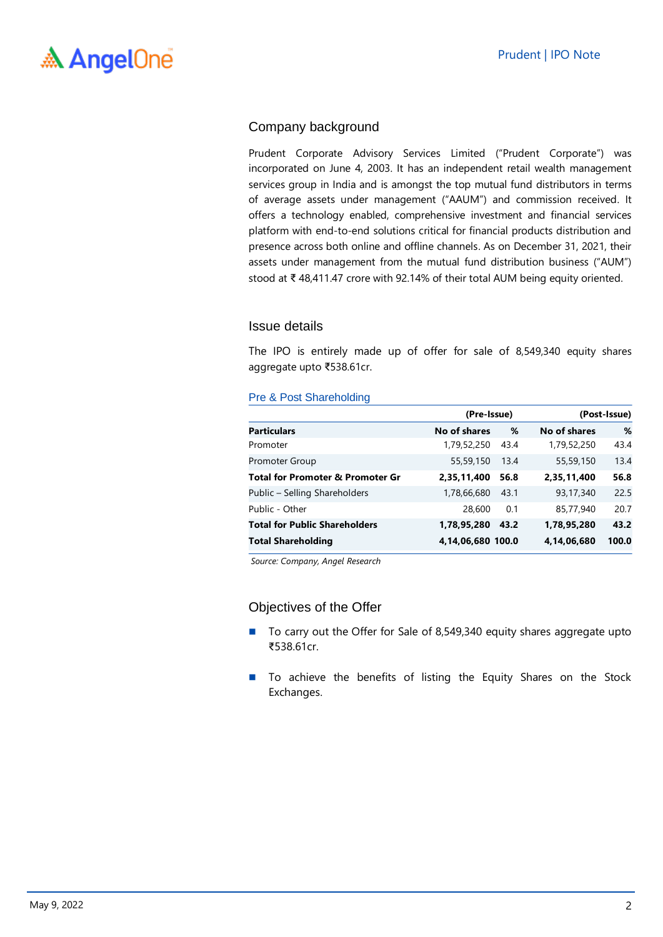### Company background

Prudent Corporate Advisory Services Limited ("Prudent Corporate") was incorporated on June 4, 2003. It has an independent retail wealth management services group in India and is amongst the top mutual fund distributors in terms of average assets under management ("AAUM") and commission received. It offers a technology enabled, comprehensive investment and financial services platform with end-to-end solutions critical for financial products distribution and presence across both online and offline channels. As on December 31, 2021, their assets under management from the mutual fund distribution business ("AUM") stood at ₹ 48,411.47 crore with 92.14% of their total AUM being equity oriented.

### Issue details

The IPO is entirely made up of offer for sale of 8,549,340 equity shares aggregate upto ₹538.61cr.

#### Pre & Post Shareholding

|                                             | (Pre-Issue)         |      |              | (Post-Issue) |  |  |
|---------------------------------------------|---------------------|------|--------------|--------------|--|--|
| <b>Particulars</b>                          | <b>No of shares</b> | %    | No of shares | %            |  |  |
| Promoter                                    | 1,79,52,250         | 43.4 | 1,79,52,250  | 43.4         |  |  |
| Promoter Group                              | 55,59,150           | 13.4 | 55,59,150    | 13.4         |  |  |
| <b>Total for Promoter &amp; Promoter Gr</b> | 2,35,11,400         | 56.8 | 2,35,11,400  | 56.8         |  |  |
| Public - Selling Shareholders               | 1,78,66,680         | 43.1 | 93,17,340    | 22.5         |  |  |
| Public - Other                              | 28,600              | 0.1  | 85,77,940    | 20.7         |  |  |
| <b>Total for Public Shareholders</b>        | 1,78,95,280         | 43.2 | 1,78,95,280  | 43.2         |  |  |
| <b>Total Shareholding</b>                   | 4,14,06,680 100.0   |      | 4,14,06,680  | 100.0        |  |  |

*Source: Company, Angel Research*

### Objectives of the Offer

- To carry out the Offer for Sale of 8,549,340 equity shares aggregate upto ₹538.61cr.
- To achieve the benefits of listing the Equity Shares on the Stock Exchanges.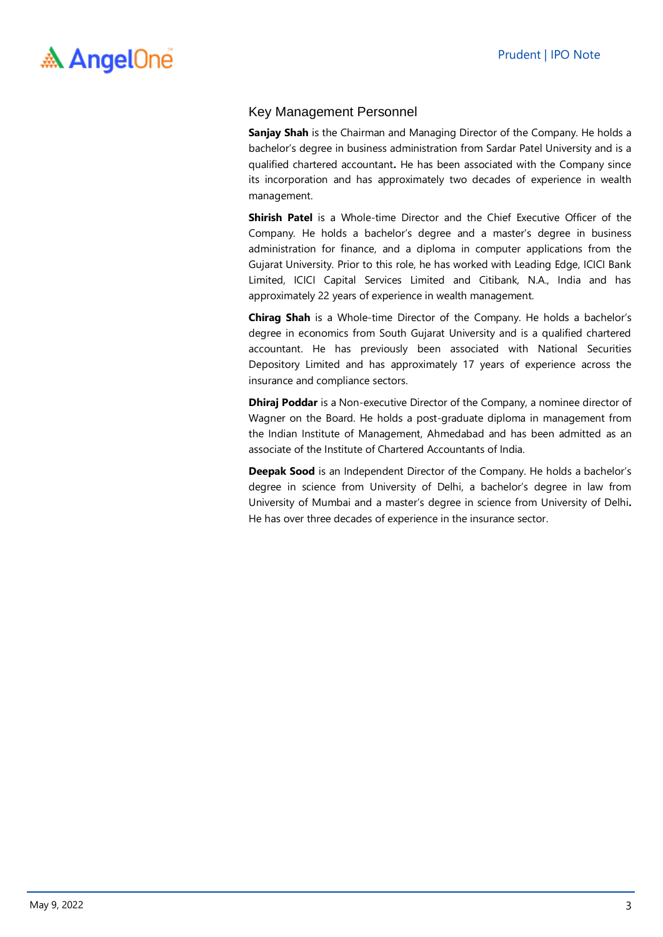### Key Management Personnel

**Sanjay Shah** is the Chairman and Managing Director of the Company. He holds a bachelor's degree in business administration from Sardar Patel University and is a qualified chartered accountant**.** He has been associated with the Company since its incorporation and has approximately two decades of experience in wealth management.

**Shirish Patel** is a Whole-time Director and the Chief Executive Officer of the Company. He holds a bachelor's degree and a master's degree in business administration for finance, and a diploma in computer applications from the Gujarat University. Prior to this role, he has worked with Leading Edge, ICICI Bank Limited, ICICI Capital Services Limited and Citibank, N.A., India and has approximately 22 years of experience in wealth management.

**Chirag Shah** is a Whole-time Director of the Company. He holds a bachelor's degree in economics from South Gujarat University and is a qualified chartered accountant. He has previously been associated with National Securities Depository Limited and has approximately 17 years of experience across the insurance and compliance sectors.

**Dhiraj Poddar** is a Non-executive Director of the Company, a nominee director of Wagner on the Board. He holds a post-graduate diploma in management from the Indian Institute of Management, Ahmedabad and has been admitted as an associate of the Institute of Chartered Accountants of India.

**Deepak Sood** is an Independent Director of the Company. He holds a bachelor's degree in science from University of Delhi, a bachelor's degree in law from University of Mumbai and a master's degree in science from University of Delhi**.** He has over three decades of experience in the insurance sector.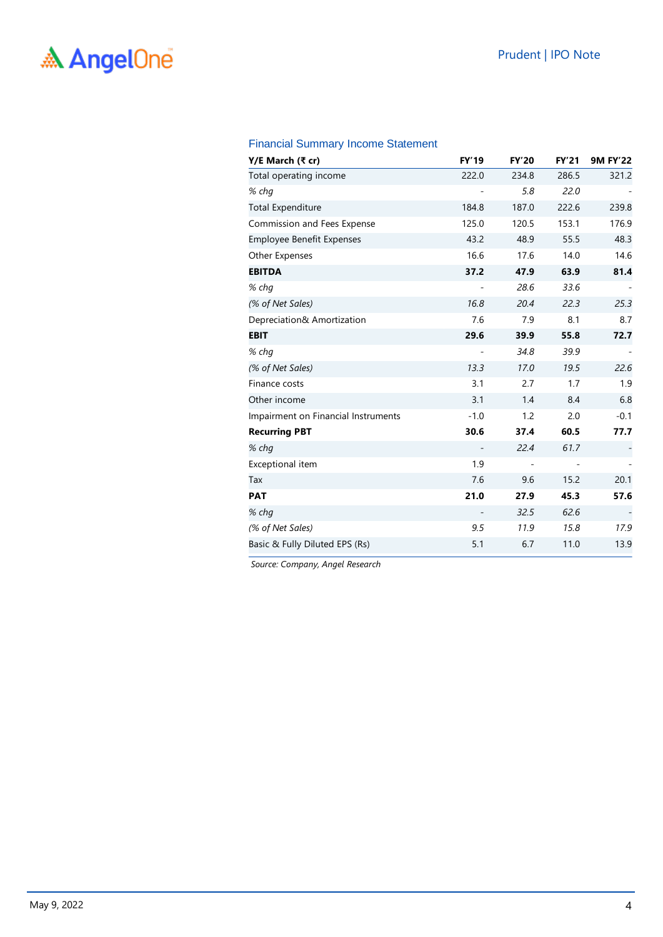### Financial Summary Income Statement

| Y/E March (₹ cr)                    | <b>FY'19</b> | <b>FY'20</b>                 | <b>FY'21</b> | <b>9M FY'22</b> |
|-------------------------------------|--------------|------------------------------|--------------|-----------------|
| Total operating income              | 222.0        | 234.8                        | 286.5        | 321.2           |
| % chg                               |              | 5.8                          | 22.0         |                 |
| <b>Total Expenditure</b>            | 184.8        | 187.0                        | 222.6        | 239.8           |
| Commission and Fees Expense         | 125.0        | 120.5                        | 153.1        | 176.9           |
| <b>Employee Benefit Expenses</b>    | 43.2         | 48.9                         | 55.5         | 48.3            |
| Other Expenses                      | 16.6         | 17.6                         | 14.0         | 14.6            |
| <b>EBITDA</b>                       | 37.2         | 47.9                         | 63.9         | 81.4            |
| % chq                               |              | 28.6                         | 33.6         |                 |
| (% of Net Sales)                    | 16.8         | 20.4                         | 22.3         | 25.3            |
| Depreciation& Amortization          | 7.6          | 7.9                          | 8.1          | 8.7             |
| <b>EBIT</b>                         | 29.6         | 39.9                         | 55.8         | 72.7            |
| % chg                               |              | 34.8                         | 39.9         |                 |
| (% of Net Sales)                    | 13.3         | 17.0                         | 19.5         | 22.6            |
| Finance costs                       | 3.1          | 2.7                          | 1.7          | 1.9             |
| Other income                        | 3.1          | 1.4                          | 8.4          | 6.8             |
| Impairment on Financial Instruments | $-1.0$       | 1.2                          | 2.0          | $-0.1$          |
| <b>Recurring PBT</b>                | 30.6         | 37.4                         | 60.5         | 77.7            |
| % chg                               |              | 22.4                         | 61.7         |                 |
| Exceptional item                    | 1.9          | $\qquad \qquad \blacksquare$ | -            |                 |
| Tax                                 | 7.6          | 9.6                          | 15.2         | 20.1            |
| <b>PAT</b>                          | 21.0         | 27.9                         | 45.3         | 57.6            |
| % chg                               |              | 32.5                         | 62.6         |                 |
| (% of Net Sales)                    | 9.5          | 11.9                         | 15.8         | 17.9            |
| Basic & Fully Diluted EPS (Rs)      | 5.1          | 6.7                          | 11.0         | 13.9            |

*Source: Company, Angel Research*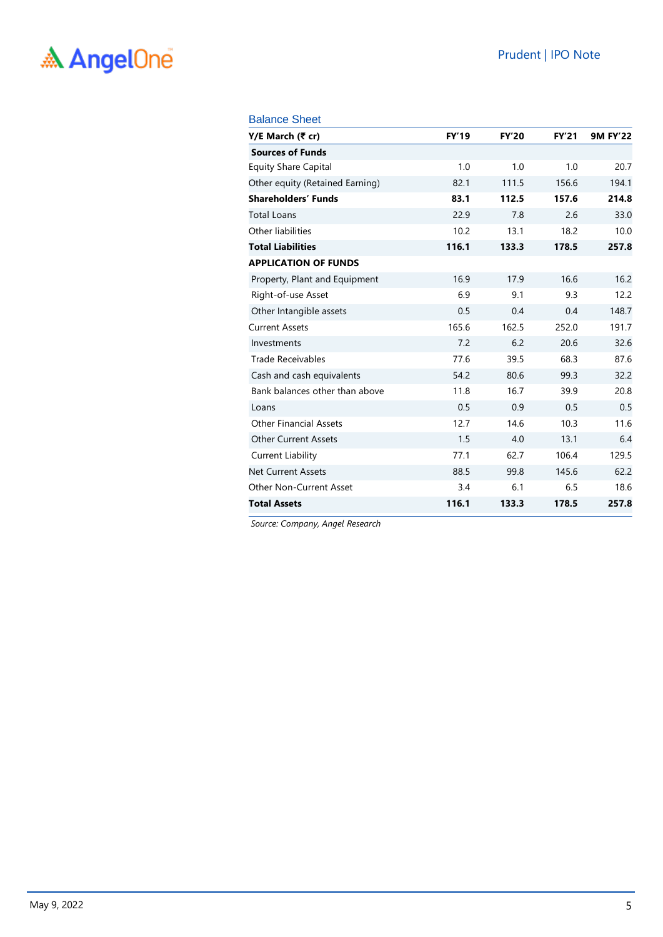### Prudent | IPO Note

# A AngelOne

#### Balance Sheet

| Y/E March (₹ cr)                | <b>FY'19</b> | <b>FY'20</b> | <b>FY'21</b> | <b>9M FY'22</b> |
|---------------------------------|--------------|--------------|--------------|-----------------|
| <b>Sources of Funds</b>         |              |              |              |                 |
| <b>Equity Share Capital</b>     | 1.0          | 1.0          | 1.0          | 20.7            |
| Other equity (Retained Earning) | 82.1         | 111.5        | 156.6        | 194.1           |
| <b>Shareholders' Funds</b>      | 83.1         | 112.5        | 157.6        | 214.8           |
| <b>Total Loans</b>              | 22.9         | 7.8          | 2.6          | 33.0            |
| Other liabilities               | 10.2         | 13.1         | 18.2         | 10.0            |
| <b>Total Liabilities</b>        | 116.1        | 133.3        | 178.5        | 257.8           |
| <b>APPLICATION OF FUNDS</b>     |              |              |              |                 |
| Property, Plant and Equipment   | 16.9         | 17.9         | 16.6         | 16.2            |
| Right-of-use Asset              | 6.9          | 9.1          | 9.3          | 12.2            |
| Other Intangible assets         | 0.5          | 0.4          | 0.4          | 148.7           |
| <b>Current Assets</b>           | 165.6        | 162.5        | 252.0        | 191.7           |
| Investments                     | 7.2          | 6.2          | 20.6         | 32.6            |
| <b>Trade Receivables</b>        | 77.6         | 39.5         | 68.3         | 87.6            |
| Cash and cash equivalents       | 54.2         | 80.6         | 99.3         | 32.2            |
| Bank balances other than above  | 11.8         | 16.7         | 39.9         | 20.8            |
| Loans                           | 0.5          | 0.9          | 0.5          | 0.5             |
| <b>Other Financial Assets</b>   | 12.7         | 14.6         | 10.3         | 11.6            |
| Other Current Assets            | 1.5          | 4.0          | 13.1         | 6.4             |
| <b>Current Liability</b>        | 77.1         | 62.7         | 106.4        | 129.5           |
| <b>Net Current Assets</b>       | 88.5         | 99.8         | 145.6        | 62.2            |
| <b>Other Non-Current Asset</b>  | 3.4          | 6.1          | 6.5          | 18.6            |
| <b>Total Assets</b>             | 116.1        | 133.3        | 178.5        | 257.8           |

*Source: Company, Angel Research*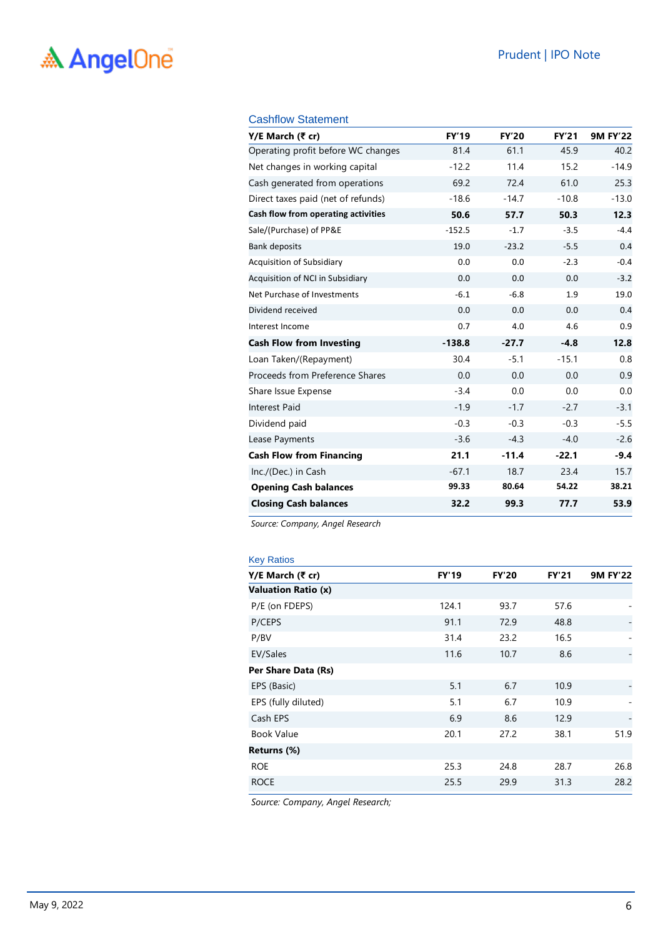### Cashflow Statement

| Y/E March (₹ cr)                    | <b>FY'19</b> | <b>FY'20</b> | <b>FY'21</b> | <b>9M FY'22</b> |
|-------------------------------------|--------------|--------------|--------------|-----------------|
| Operating profit before WC changes  | 81.4         | 61.1         | 45.9         | 40.2            |
| Net changes in working capital      | $-12.2$      | 11.4         | 15.2         | $-14.9$         |
| Cash generated from operations      | 69.2         | 72.4         | 61.0         | 25.3            |
| Direct taxes paid (net of refunds)  | $-18.6$      | $-14.7$      | $-10.8$      | $-13.0$         |
| Cash flow from operating activities | 50.6         | 57.7         | 50.3         | 12.3            |
| Sale/(Purchase) of PP&E             | $-152.5$     | $-1.7$       | $-3.5$       | $-4.4$          |
| <b>Bank deposits</b>                | 19.0         | $-23.2$      | $-5.5$       | 0.4             |
| Acquisition of Subsidiary           | 0.0          | 0.0          | $-2.3$       | $-0.4$          |
| Acquisition of NCI in Subsidiary    | 0.0          | 0.0          | 0.0          | $-3.2$          |
| Net Purchase of Investments         | $-6.1$       | $-6.8$       | 1.9          | 19.0            |
| Dividend received                   | 0.0          | 0.0          | 0.0          | 0.4             |
| Interest Income                     | 0.7          | 4.0          | 4.6          | 0.9             |
| <b>Cash Flow from Investing</b>     | $-138.8$     | $-27.7$      | $-4.8$       | 12.8            |
| Loan Taken/(Repayment)              | 30.4         | $-5.1$       | $-15.1$      | 0.8             |
| Proceeds from Preference Shares     | 0.0          | 0.0          | 0.0          | 0.9             |
| Share Issue Expense                 | $-3.4$       | 0.0          | 0.0          | 0.0             |
| <b>Interest Paid</b>                | $-1.9$       | $-1.7$       | $-2.7$       | $-3.1$          |
| Dividend paid                       | $-0.3$       | $-0.3$       | $-0.3$       | $-5.5$          |
| Lease Payments                      | $-3.6$       | $-4.3$       | $-4.0$       | $-2.6$          |
| <b>Cash Flow from Financing</b>     | 21.1         | $-11.4$      | $-22.1$      | $-9.4$          |
| Inc./(Dec.) in Cash                 | $-67.1$      | 18.7         | 23.4         | 15.7            |
| <b>Opening Cash balances</b>        | 99.33        | 80.64        | 54.22        | 38.21           |
| <b>Closing Cash balances</b>        | 32.2         | 99.3         | 77.7         | 53.9            |

*Source: Company, Angel Research*

| <b>Key Ratios</b>          |              |              |              |                 |
|----------------------------|--------------|--------------|--------------|-----------------|
| Y/E March (₹ cr)           | <b>FY'19</b> | <b>FY'20</b> | <b>FY'21</b> | <b>9M FY'22</b> |
| <b>Valuation Ratio (x)</b> |              |              |              |                 |
| P/E (on FDEPS)             | 124.1        | 93.7         | 57.6         |                 |
| P/CEPS                     | 91.1         | 72.9         | 48.8         |                 |
| P/BV                       | 31.4         | 23.2         | 16.5         | -               |
| EV/Sales                   | 11.6         | 10.7         | 8.6          |                 |
| Per Share Data (Rs)        |              |              |              |                 |
| EPS (Basic)                | 5.1          | 6.7          | 10.9         |                 |
| EPS (fully diluted)        | 5.1          | 6.7          | 10.9         |                 |
| Cash EPS                   | 6.9          | 8.6          | 12.9         |                 |
| <b>Book Value</b>          | 20.1         | 27.2         | 38.1         | 51.9            |
| Returns (%)                |              |              |              |                 |
| <b>ROE</b>                 | 25.3         | 24.8         | 28.7         | 26.8            |
| <b>ROCE</b>                | 25.5         | 29.9         | 31.3         | 28.2            |
|                            |              |              |              |                 |

*Source: Company, Angel Research;*